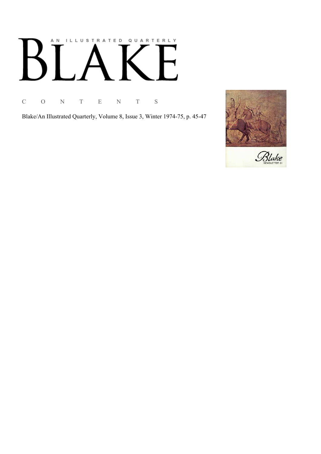# AN ILLUSTRATED QUARTERLY

C O N T E N T S

Blake/An Illustrated Quarterly, Volume 8, Issue 3, Winter 1974-75, p. 45-47

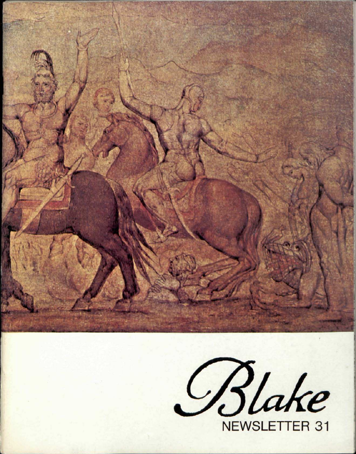

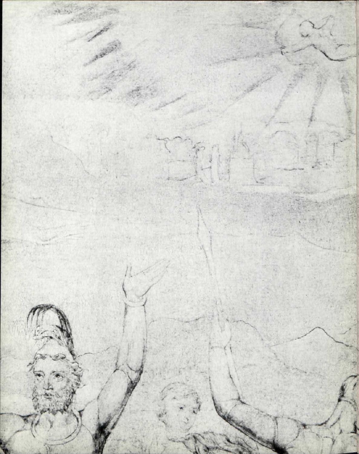